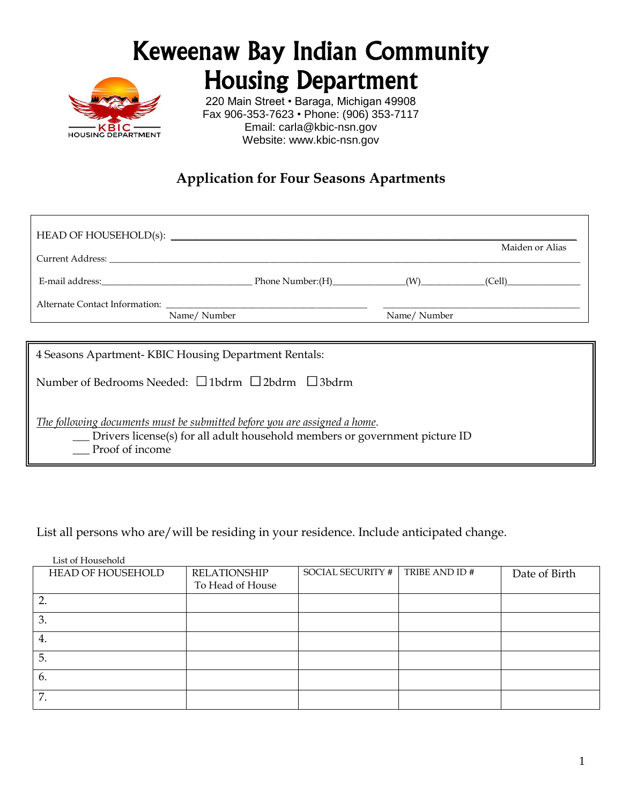# Keweenaw Bay Indian Community Housing Department



220 Main Street • Baraga, Michigan 49908 Fax 906-353-7623 • Phone: (906) 353-7117 Email: [carla@kbic-nsn.gov](mailto:carla@kbic-nsn.gov) Website: www.kbic-nsn.gov

## **Application for Four Seasons Apartments**

|                                                                                                                                                                                                                                |  |             | Maiden or Alias |  |  |
|--------------------------------------------------------------------------------------------------------------------------------------------------------------------------------------------------------------------------------|--|-------------|-----------------|--|--|
| Current Address: The Current Address and the Current Address and the Current Address and the Current Address and the Current Address and the Current Address and the Current Address and the Current Address and the Current A |  |             |                 |  |  |
|                                                                                                                                                                                                                                |  |             |                 |  |  |
|                                                                                                                                                                                                                                |  |             |                 |  |  |
| Name/Number                                                                                                                                                                                                                    |  | Name/Number |                 |  |  |
| 4 Seasons Apartment-KBIC Housing Department Rentals:                                                                                                                                                                           |  |             |                 |  |  |
| Number of Bedrooms Needed: $\Box$ 1bdrm $\Box$ 2bdrm $\Box$ 3bdrm                                                                                                                                                              |  |             |                 |  |  |
| The following documents must be submitted before you are assigned a home.<br>__ Drivers license(s) for all adult household members or government picture ID<br>Proof of income                                                 |  |             |                 |  |  |

List all persons who are/will be residing in your residence. Include anticipated change.

List of Household

| HEAD OF HOUSEHOLD | <b>RELATIONSHIP</b> | <b>SOCIAL SECURITY #</b> | TRIBE AND ID # | Date of Birth |
|-------------------|---------------------|--------------------------|----------------|---------------|
|                   | To Head of House    |                          |                |               |
|                   |                     |                          |                |               |
| 3.                |                     |                          |                |               |
| 4.                |                     |                          |                |               |
| 5.                |                     |                          |                |               |
| 6.                |                     |                          |                |               |
| 7.                |                     |                          |                |               |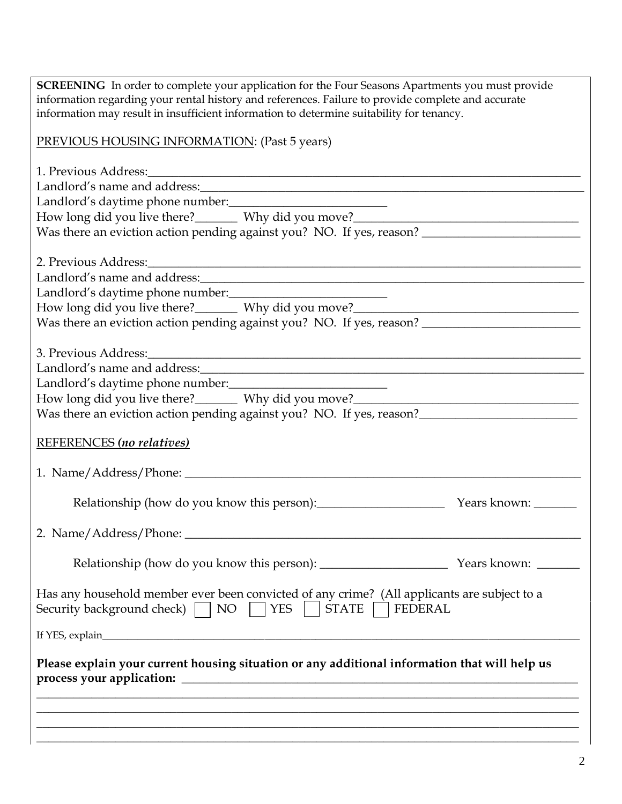| <b>SCREENING</b> In order to complete your application for the Four Seasons Apartments you must provide<br>information regarding your rental history and references. Failure to provide complete and accurate |  |
|---------------------------------------------------------------------------------------------------------------------------------------------------------------------------------------------------------------|--|
| information may result in insufficient information to determine suitability for tenancy.                                                                                                                      |  |
|                                                                                                                                                                                                               |  |
| PREVIOUS HOUSING INFORMATION: (Past 5 years)                                                                                                                                                                  |  |
|                                                                                                                                                                                                               |  |
|                                                                                                                                                                                                               |  |
| Landlord's name and address:<br><u>Landlord's name and address:</u>                                                                                                                                           |  |
| Landlord's daytime phone number:<br><u> </u>                                                                                                                                                                  |  |
| How long did you live there?________ Why did you move?___________________________                                                                                                                             |  |
| Was there an eviction action pending against you? NO. If yes, reason? ______________________________                                                                                                          |  |
|                                                                                                                                                                                                               |  |
|                                                                                                                                                                                                               |  |
| Landlord's name and address:                                                                                                                                                                                  |  |
| Landlord's daytime phone number:                                                                                                                                                                              |  |
| How long did you live there?________ Why did you move?___________________________                                                                                                                             |  |
| Was there an eviction action pending against you? NO. If yes, reason? ______________________________                                                                                                          |  |
|                                                                                                                                                                                                               |  |
|                                                                                                                                                                                                               |  |
|                                                                                                                                                                                                               |  |
| Landlord's daytime phone number:                                                                                                                                                                              |  |
| How long did you live there?______Why did you move?______________________________                                                                                                                             |  |
| Was there an eviction action pending against you? NO. If yes, reason?                                                                                                                                         |  |
|                                                                                                                                                                                                               |  |
| REFERENCES (no relatives)                                                                                                                                                                                     |  |
|                                                                                                                                                                                                               |  |
|                                                                                                                                                                                                               |  |
|                                                                                                                                                                                                               |  |
| Relationship (how do you know this person): Vears known:                                                                                                                                                      |  |
|                                                                                                                                                                                                               |  |
|                                                                                                                                                                                                               |  |
|                                                                                                                                                                                                               |  |
|                                                                                                                                                                                                               |  |
| Has any household member ever been convicted of any crime? (All applicants are subject to a                                                                                                                   |  |
| Security background check) $\Box$ NO $\Box$ YES $\Box$<br>STATE  <br>FEDERAL                                                                                                                                  |  |
|                                                                                                                                                                                                               |  |
|                                                                                                                                                                                                               |  |
|                                                                                                                                                                                                               |  |
| Please explain your current housing situation or any additional information that will help us                                                                                                                 |  |
|                                                                                                                                                                                                               |  |
|                                                                                                                                                                                                               |  |
|                                                                                                                                                                                                               |  |
| <u> 1989 - Johann Harry Harry Harry Harry Harry Harry Harry Harry Harry Harry Harry Harry Harry Harry Harry Harry</u>                                                                                         |  |
|                                                                                                                                                                                                               |  |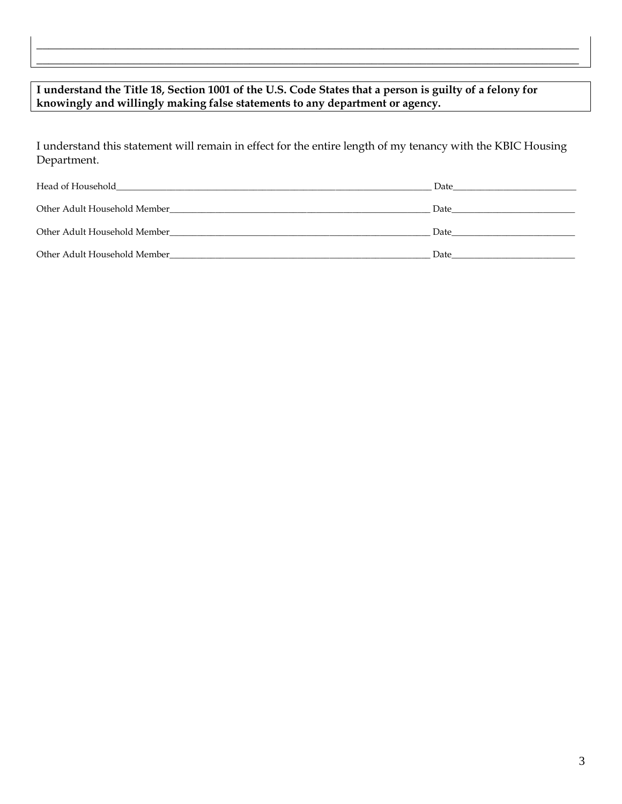### **I understand the Title 18, Section 1001 of the U.S. Code States that a person is guilty of a felony for knowingly and willingly making false statements to any department or agency.**

I understand this statement will remain in effect for the entire length of my tenancy with the KBIC Housing Department.

**\_\_\_\_\_\_\_\_\_\_\_\_\_\_\_\_\_\_\_\_\_\_\_\_\_\_\_\_\_\_\_\_\_\_\_\_\_\_\_\_\_\_\_\_\_\_\_\_\_\_\_\_\_\_\_\_\_\_\_\_\_\_\_\_\_\_\_\_\_\_\_\_\_\_\_\_\_\_\_\_\_\_\_\_\_\_\_\_\_ \_\_\_\_\_\_\_\_\_\_\_\_\_\_\_\_\_\_\_\_\_\_\_\_\_\_\_\_\_\_\_\_\_\_\_\_\_\_\_\_\_\_\_\_\_\_\_\_\_\_\_\_\_\_\_\_\_\_\_\_\_\_\_\_\_\_\_\_\_\_\_\_\_\_\_\_\_\_\_\_\_\_\_\_\_\_\_\_\_**

| Head of Household<br>the control of the control of the control of the control of the control of the control of the control of the control of the control of the control of the control of the control of the control of the control of the control | Date |
|----------------------------------------------------------------------------------------------------------------------------------------------------------------------------------------------------------------------------------------------------|------|
| Other Adult Household Member                                                                                                                                                                                                                       | Date |
| Other Adult Household Member                                                                                                                                                                                                                       | Date |
| Other Adult Household Member                                                                                                                                                                                                                       | Date |